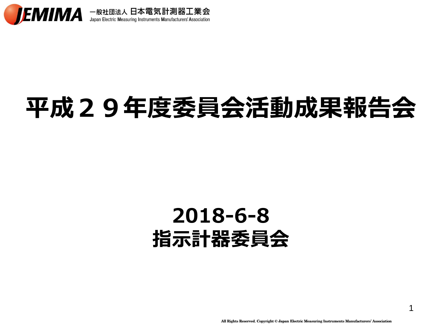

## 平成29年度委員会活動成果報告会

### 2018-6-8 指示計器委員会

1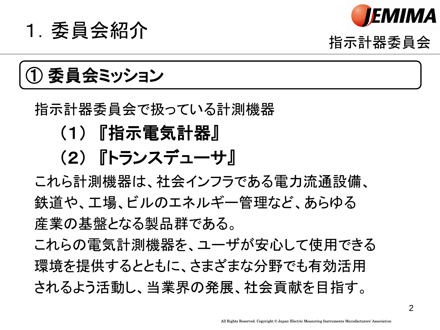



#### 指示計器委員会

① 委員会ミッション

#### 指示計器委員会で扱っている計測機器

#### (1) 『指示電気計器』

#### (2) 『トランスデューサ』

これら計測機器は、社会インフラである電力流通設備、 鉄道や、工場、ビルのエネルギー管理など、あらゆる 産業の基盤となる製品群である。

これらの電気計測機器を、ユーザが安心して使用できる 環境を提供するとともに、さまざまな分野でも有効活用 されるよう活動し、当業界の発展、社会貢献を目指す。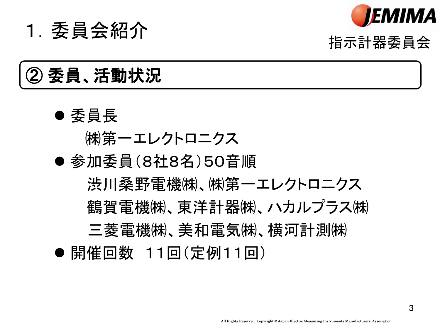

# of the set of the set of the set of the set of the set of the set of the set of the set of the set of the set <br>The set of the set of the set of the set of the set of the set of the set of the set of the set of the set of

### 委員、活動状況

- 委員長
	- ㈱第一エレクトロニクス
- 参加委員(8社8名)50音順 渋川桑野電機㈱、㈱第一エレクトロニクス 鶴賀雷機㈱、東洋計器㈱、ハカルプラス㈱ 三菱電機㈱、美和電気㈱、横河計測㈱ ● 開催回数 11回(定例11回)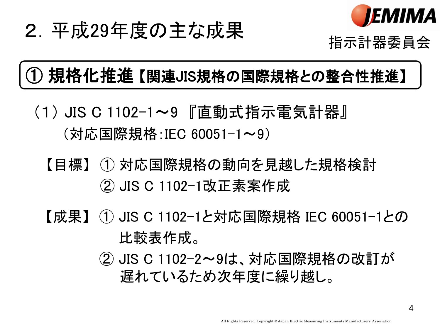

## 2. 平成29年度の主な成果 インディング <sub>指示計器委員会</sub>

#### ① 規格化推進 【関連JIS規格の国際規格との整合性推進】

- (1) JIS C 1102-1~9 『直動式指示電気計器』 (対応国際規格:IEC 60051-1~9)
	- 【目標】 ① 対応国際規格の動向を見越した規格検討 【目標】 ② JIS C 1102-1改正素案作成
	- 【成果】 ① JIS C 1102-1と対応国際規格 IEC 60051-1との 比較表作成。
		- (2) JIS C 1102−2~9は、対応国際規格の改訂が 遅れているため次年度に繰り越し。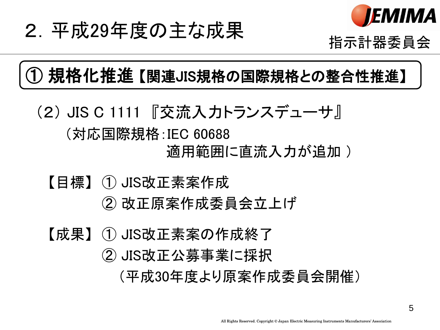

# 2. 平成29年度の主な成果<br><sub>指示計器委員会</sub>

#### ① 規格化推進 【関連JIS規格の国際規格との整合性推進】

- (2) JIS C 1111 『交流入力トランスデューサ』 (対応国際規格:IEC 60688 適用範囲に直流入力が追加 )
	- 【目標】 ① JIS改正素案作成 ② 改正原案作成委員会立上げ
	- 【成果】 ① JIS改正素案の作成終了
		- 【成果】 ② JIS改正公募事業に採択
			- (平成30年度より原案作成委員会開催)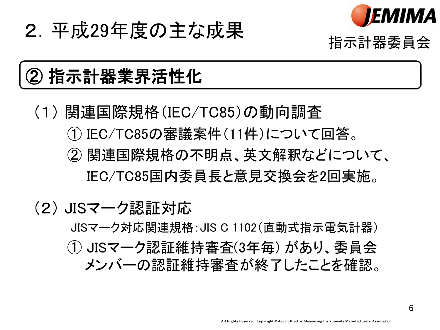

指示計器委員会

### 2.平成29年度の主な成果

### ② 指示計器業界活性化

(1) 関連国際規格(IEC/TC85)の動向調査 ① IEC/TC85の審議案件(11件)について回答。 ② 関連国際規格の不明点、英文解釈などについて、 IEC/TC85国内委員長と意見交換会を2回実施。

#### (2) JISマーク認証対応

 JISマーク対応関連規格:JIS C 1102(直動式指示電気計器) ① JISマーク認証維持審査(3年毎) があり、委員会 メンバーの認証維持審査が終了したことを確認。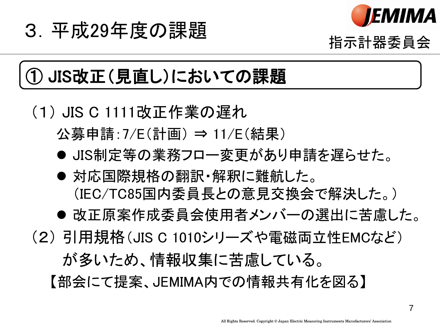

## 3. 平成29年度の課題 インストリック インタンのおよび しょうしゃ インタン インタン おおおとり はいじょう こうしゃ はんじょう はんじょう はんじょう はんじょう はんじょう はんじょう はんじょう はんしゃ はんじょう はんじょう はんじょう はんじょう はんじょう はんじょう はんじょう はんじょう はんしゃ はんじょう はんしゃ はんじょう はんじょう はんじょう はんじょう はんじょう はんじょう はんじょう はんじょ

### JIS改正(見直し)においての課題

#### (1) JIS C 1111改正作業の遅れ 公募申請:7/E(計画) ⇒ 11/E(結果)

- 
- JIS制定等の業務フロー変更があり申請を遅らせた。
- 対応国際規格の翻訳・解釈に難航した。 (IEC/TC85国内委員長との意見交換会で解決した。)
- 改正原案作成委員会使用者メンバーの選出に苦慮した。
- (2) 引用規格(JIS C 1010シリーズや電磁両立性EMCなど) が多いため、情報収集に苦慮している。 【部会にて提案、JEMIMA内での情報共有化を図る】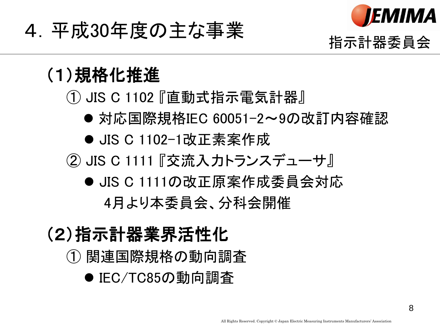

# 指示計器委員会 4.平成30年度の主な事業

#### (1)規格化推進

① JIS C 1102 『直動式指示電気計器』

- 対応国際規格IEC 60051-2~9の改訂内容確認
- JIS C 1102-1改正素案作成
- ② JIS C 1111 『交流入力トランスデューサ』
	- JIS C 1111の改正原案作成委員会対応 4月より本委員会、分科会開催

#### (2)指示計器業界活性化

- ① 関連国際規格の動向調査
	- IEC/TC85の動向調査